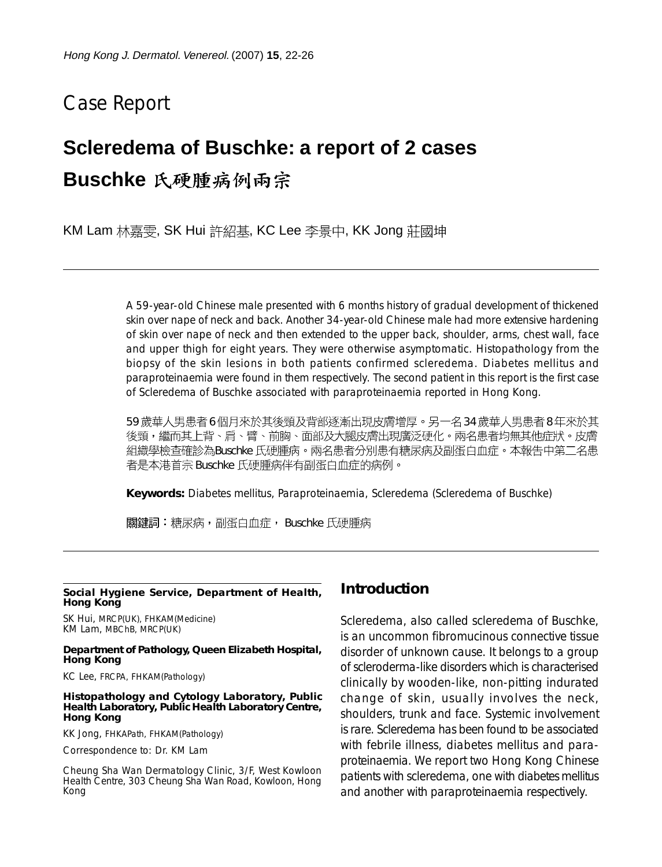## Case Report

# **Scleredema of Buschke: a report of 2 cases**

## **Buschke**

KM Lam 林嘉雯, SK Hui 許紹基, KC Lee 李景中, KK Jong 莊國坤

A 59-year-old Chinese male presented with 6 months history of gradual development of thickened skin over nape of neck and back. Another 34-year-old Chinese male had more extensive hardening of skin over nape of neck and then extended to the upper back, shoulder, arms, chest wall, face and upper thigh for eight years. They were otherwise asymptomatic. Histopathology from the biopsy of the skin lesions in both patients confirmed scleredema. Diabetes mellitus and paraproteinaemia were found in them respectively. The second patient in this report is the first case of Scleredema of Buschke associated with paraproteinaemia reported in Hong Kong.

59 歲華人男患者6個月來於其後頸及背部逐漸出現皮膚增厚。另一名 34 歲華人男患者8年來於其 後頸,繼而其上背、肩、臂、前胸、面部及大腿皮膚出現廣泛硬化。兩名患者均無其他症狀。皮膚 組織學檢查確診為Buschke 氏硬腫病。兩名患者分別患有糖尿病及副蛋白血症。本報告中第二名患 者是本港首宗 Buschke 氏硬腫病伴有副蛋白血症的病例。

**Keywords:** Diabetes mellitus, Paraproteinaemia, Scleredema (Scleredema of Buschke)

關鍵詞:糖尿病,副蛋白血症, Buschke 氏硬腫病

#### **Social Hygiene Service, Department of Health, Hong Kong**

SK Hui, MRCP(UK), FHKAM(Medicine) KM Lam, MBChB, MRCP(UK)

#### **Department of Pathology, Queen Elizabeth Hospital, Hong Kong**

KC Lee, FRCPA, FHKAM(Pathology)

#### **Histopathology and Cytology Laboratory, Public Health Laboratory, Public Health Laboratory Centre, Hong Kong**

KK Jong, FHKAPath, FHKAM(Pathology)

Correspondence to: Dr. KM Lam

Cheung Sha Wan Dermatology Clinic, 3/F, West Kowloon Health Centre, 303 Cheung Sha Wan Road, Kowloon, Hong Kong

#### **Introduction**

Scleredema, also called scleredema of Buschke, is an uncommon fibromucinous connective tissue disorder of unknown cause. It belongs to a group of scleroderma-like disorders which is characterised clinically by wooden-like, non-pitting indurated change of skin, usually involves the neck, shoulders, trunk and face. Systemic involvement is rare. Scleredema has been found to be associated with febrile illness, diabetes mellitus and paraproteinaemia. We report two Hong Kong Chinese patients with scleredema, one with diabetes mellitus and another with paraproteinaemia respectively.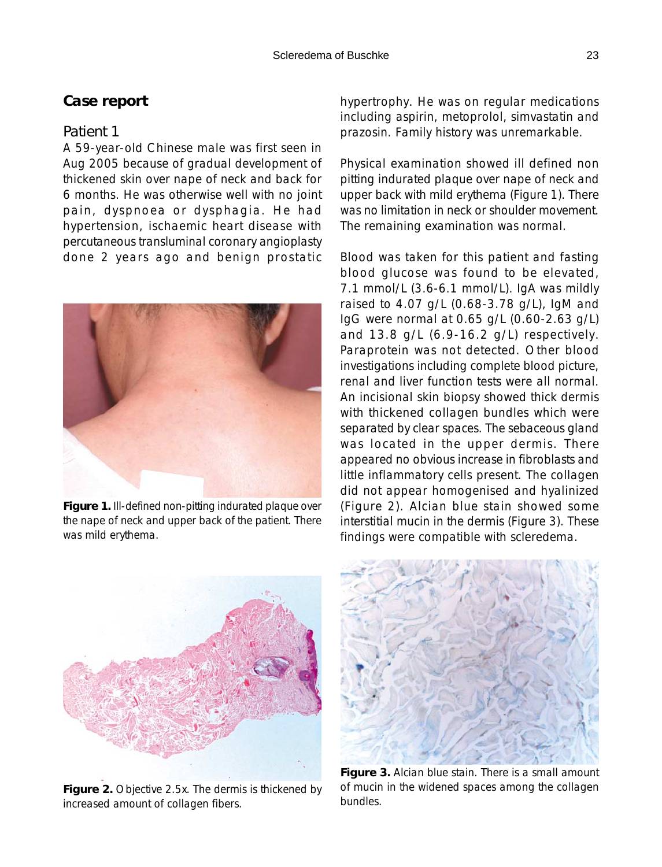### **Case report**

#### *Patient 1*

A 59-year-old Chinese male was first seen in Aug 2005 because of gradual development of thickened skin over nape of neck and back for 6 months. He was otherwise well with no joint pain, dyspnoea or dysphagia. He had hypertension, ischaemic heart disease with percutaneous transluminal coronary angioplasty done 2 years ago and benign prostatic



**Figure 1.** Ill-defined non-pitting indurated plaque over the nape of neck and upper back of the patient. There was mild erythema.

hypertrophy. He was on regular medications including aspirin, metoprolol, simvastatin and prazosin. Family history was unremarkable.

Physical examination showed ill defined non pitting indurated plaque over nape of neck and upper back with mild erythema (Figure 1). There was no limitation in neck or shoulder movement. The remaining examination was normal.

Blood was taken for this patient and fasting blood glucose was found to be elevated, 7.1 mmol/L (3.6-6.1 mmol/L). IgA was mildly raised to 4.07 g/L (0.68-3.78 g/L), IgM and IgG were normal at 0.65 g/L (0.60-2.63 g/L) and 13.8 g/L (6.9-16.2 g/L) respectively. Paraprotein was not detected. Other blood investigations including complete blood picture, renal and liver function tests were all normal. An incisional skin biopsy showed thick dermis with thickened collagen bundles which were separated by clear spaces. The sebaceous gland was located in the upper dermis. There appeared no obvious increase in fibroblasts and little inflammatory cells present. The collagen did not appear homogenised and hyalinized (Figure 2). Alcian blue stain showed some interstitial mucin in the dermis (Figure 3). These findings were compatible with scleredema.



**Figure 2.** Objective 2.5x. The dermis is thickened by increased amount of collagen fibers.



**Figure 3.** Alcian blue stain. There is a small amount of mucin in the widened spaces among the collagen bundles.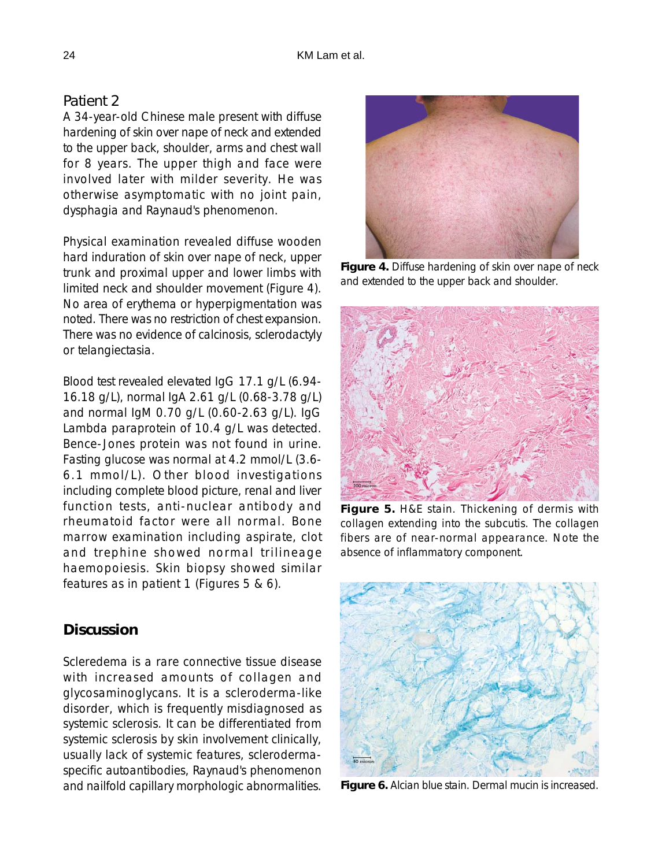### *Patient 2*

A 34-year-old Chinese male present with diffuse hardening of skin over nape of neck and extended to the upper back, shoulder, arms and chest wall for 8 years. The upper thigh and face were involved later with milder severity. He was otherwise asymptomatic with no joint pain, dysphagia and Raynaud's phenomenon.

Physical examination revealed diffuse wooden hard induration of skin over nape of neck, upper trunk and proximal upper and lower limbs with limited neck and shoulder movement (Figure 4). No area of erythema or hyperpigmentation was noted. There was no restriction of chest expansion. There was no evidence of calcinosis, sclerodactyly or telangiectasia.

Blood test revealed elevated IgG 17.1 g/L (6.94- 16.18 g/L), normal IgA 2.61 g/L (0.68-3.78 g/L) and normal IgM 0.70 g/L (0.60-2.63 g/L). IgG Lambda paraprotein of 10.4 g/L was detected. Bence-Jones protein was not found in urine. Fasting glucose was normal at 4.2 mmol/L (3.6- 6.1 mmol/L). Other blood investigations including complete blood picture, renal and liver function tests, anti-nuclear antibody and rheumatoid factor were all normal. Bone marrow examination including aspirate, clot and trephine showed normal trilineage haemopoiesis. Skin biopsy showed similar features as in patient 1 (Figures 5 & 6).

## **Discussion**

Scleredema is a rare connective tissue disease with increased amounts of collagen and glycosaminoglycans. It is a scleroderma-like disorder, which is frequently misdiagnosed as systemic sclerosis. It can be differentiated from systemic sclerosis by skin involvement clinically, usually lack of systemic features, sclerodermaspecific autoantibodies, Raynaud's phenomenon and nailfold capillary morphologic abnormalities.



**Figure 4.** Diffuse hardening of skin over nape of neck and extended to the upper back and shoulder.



**Figure 5.** H&E stain. Thickening of dermis with collagen extending into the subcutis. The collagen fibers are of near-normal appearance. Note the absence of inflammatory component.



**Figure 6.** Alcian blue stain. Dermal mucin is increased.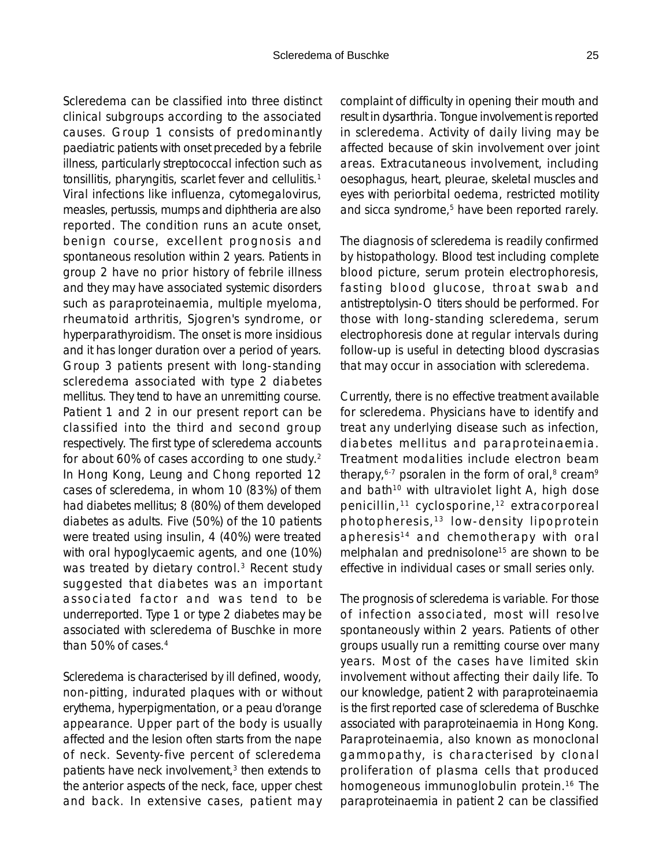Scleredema can be classified into three distinct clinical subgroups according to the associated causes. Group 1 consists of predominantly paediatric patients with onset preceded by a febrile illness, particularly streptococcal infection such as tonsillitis, pharyngitis, scarlet fever and cellulitis.1 Viral infections like influenza, cytomegalovirus, measles, pertussis, mumps and diphtheria are also reported. The condition runs an acute onset, benign course, excellent prognosis and spontaneous resolution within 2 years. Patients in group 2 have no prior history of febrile illness and they may have associated systemic disorders such as paraproteinaemia, multiple myeloma, rheumatoid arthritis, Sjogren's syndrome, or hyperparathyroidism. The onset is more insidious and it has longer duration over a period of years. Group 3 patients present with long-standing scleredema associated with type 2 diabetes mellitus. They tend to have an unremitting course. Patient 1 and 2 in our present report can be classified into the third and second group respectively. The first type of scleredema accounts for about 60% of cases according to one study.2 In Hong Kong, Leung and Chong reported 12 cases of scleredema, in whom 10 (83%) of them had diabetes mellitus; 8 (80%) of them developed diabetes as adults. Five (50%) of the 10 patients were treated using insulin, 4 (40%) were treated with oral hypoglycaemic agents, and one (10%) was treated by dietary control.<sup>3</sup> Recent study suggested that diabetes was an important associated factor and was tend to be underreported. Type 1 or type 2 diabetes may be associated with scleredema of Buschke in more than 50% of cases  $4$ 

Scleredema is characterised by ill defined, woody, non-pitting, indurated plaques with or without erythema, hyperpigmentation, or a peau d'orange appearance. Upper part of the body is usually affected and the lesion often starts from the nape of neck. Seventy-five percent of scleredema patients have neck involvement, $3$  then extends to the anterior aspects of the neck, face, upper chest and back. In extensive cases, patient may complaint of difficulty in opening their mouth and result in dysarthria. Tongue involvement is reported in scleredema. Activity of daily living may be affected because of skin involvement over joint areas. Extracutaneous involvement, including oesophagus, heart, pleurae, skeletal muscles and eyes with periorbital oedema, restricted motility and sicca syndrome,<sup>5</sup> have been reported rarely.

The diagnosis of scleredema is readily confirmed by histopathology. Blood test including complete blood picture, serum protein electrophoresis, fasting blood glucose, throat swab and antistreptolysin-O titers should be performed. For those with long-standing scleredema, serum electrophoresis done at regular intervals during follow-up is useful in detecting blood dyscrasias that may occur in association with scleredema.

Currently, there is no effective treatment available for scleredema. Physicians have to identify and treat any underlying disease such as infection, diabetes mellitus and paraproteinaemia. Treatment modalities include electron beam therapy,  $6-7$  psoralen in the form of oral, $8$  cream<sup>9</sup> and bath<sup>10</sup> with ultraviolet light A, high dose penicillin,<sup>11</sup> cyclosporine,<sup>12</sup> extracorporeal photopheresis, 13 low-density lipoprotein apheresis<sup>14</sup> and chemotherapy with oral melphalan and prednisolone<sup>15</sup> are shown to be effective in individual cases or small series only.

The prognosis of scleredema is variable. For those of infection associated, most will resolve spontaneously within 2 years. Patients of other groups usually run a remitting course over many years. Most of the cases have limited skin involvement without affecting their daily life. To our knowledge, patient 2 with paraproteinaemia is the first reported case of scleredema of Buschke associated with paraproteinaemia in Hong Kong. Paraproteinaemia, also known as monoclonal gammopathy, is characterised by clonal proliferation of plasma cells that produced homogeneous immunoglobulin protein.<sup>16</sup> The paraproteinaemia in patient 2 can be classified